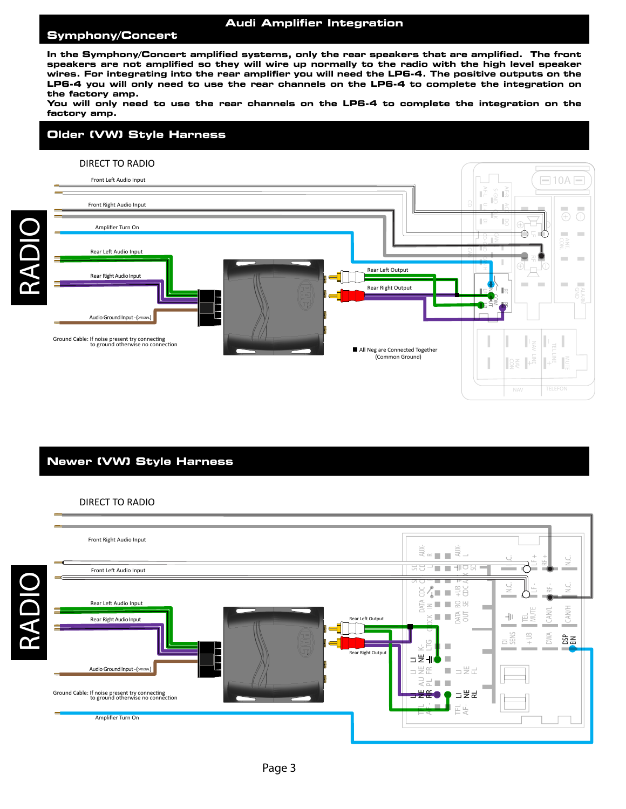### **Audi Amplifier Integration**

### *1995-2004 Nissan or Infinity Bose Sound System INSTALL 1989-1994 SystemTALL 1990-1997 General Motors BoseINSTALL Pre 1985 General Motors BoseINSTALL* **BOSE Symphony/Concert**

the factory amp. Wiring **With BOSE amplified systems all the speakers that are amplified. For integrating into the In the Symphony/Concert amplified systems, only the rear speakers that are amplified. The front**  speakers are not amplified so they will wire up normally to the radio with the nigh level speaker<br>wires. For integrating into the rear amplifier you will need the LP6-4. The positive outputs on the **INTER Symphony/Soncert amplified systems,** only the rear speakers that are amplified. The front<br>speakers are not amplified so they will wire up normally to the radio with the high level speaker *chassis radio ground.* **LP6-4 you will only need to use the rear channels on the LP6-4 to complete the integration on** 

You will only need to use the rear channels on the LP6-4 to complete the integration on the<br><u>.</u> factory amp. Wire OEM

# Older (VW) Style Harness



Front Right Output

# Front Right Input Front Right Input *Common Audio Signal Ground 1985-1989 Corvette / Bose* **Newer (VW) Style Harness**

# DIRECT TO RADIO

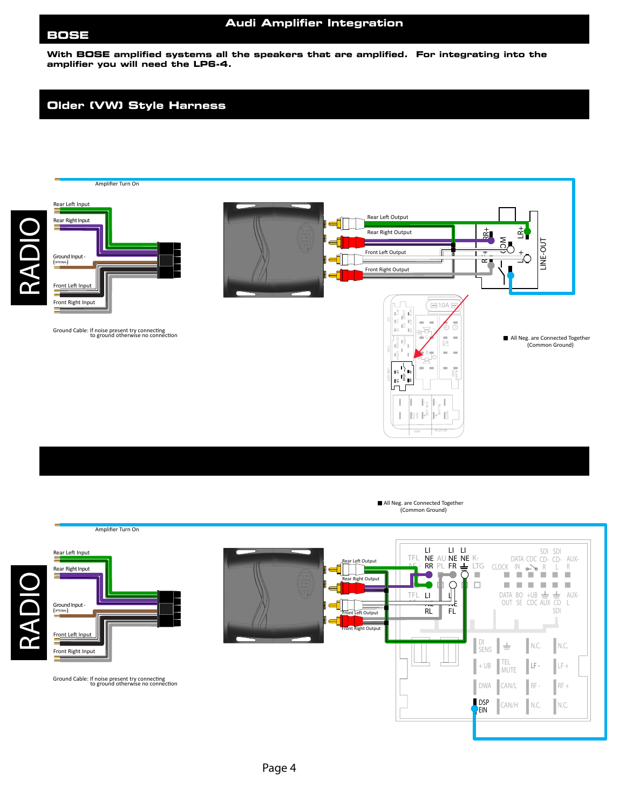## *1995-2004 Nissan or Infinity Bose Sound System INSTALL 1989-1994 SystemTALL 1990-1997 General Motors BoseINSTALL Pre 1985 General Motors BoseINSTALL* **BOSE Symphony/Concert**

#### **Audi Amplifier Integration**

Wiring **With BOSE amplified systems all the speakers that are amplified. For integrating into the In the Symphony/Concert amplified systems, only the rear speakers that are amplified. The front**  with BOOL amplified systems an the speakers that are amplified. Por integrating into the<br>amplifier you will need the LP6-4. *Cut away shield wires (clear or uninsulated wire) from factory side as illustrated in diagram and connect to* 

#### **Older (VW) Style Harness factor** and the **factor**  $\overline{f}$

*chassis radio ground.*





Wire

OEM

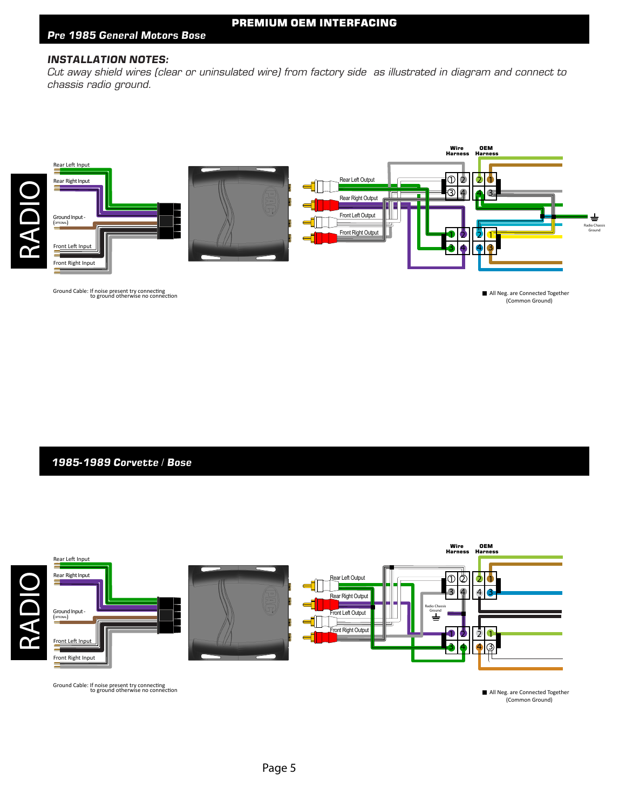#### **INSTALLATION NOTES: amplifier you wolld.**<br> **C In the Symphony/Concert amplified systems, only the rear speakers that are amplified. The front**

**nverALLATION NOTLS:**<br>Cut away shield wires (clear or uninsulated wire) from factory side as illustrated in diagram and connect to *chassis radio ground.* **LP6-4 you will only need to use the rear channels on the LP6-4 to complete the integration on**  Lut away snieid wires (clear or uninsulated wire) from factory side as illustrated in diagram and connect to



Front Right Output

(Common Ground) All Neg.<br>) A

## Front Right Input Front Right Input *Common Audio Signal Ground 1985-1989 Corvette / Bose* **Newer (VW) Style Harness**

RADIO



 $\blacksquare$  All Neg. are Connected Together (Common Ground)<br>(Common Ground)<br> $\blacksquare$ (Common Ground)  $\overline{C}$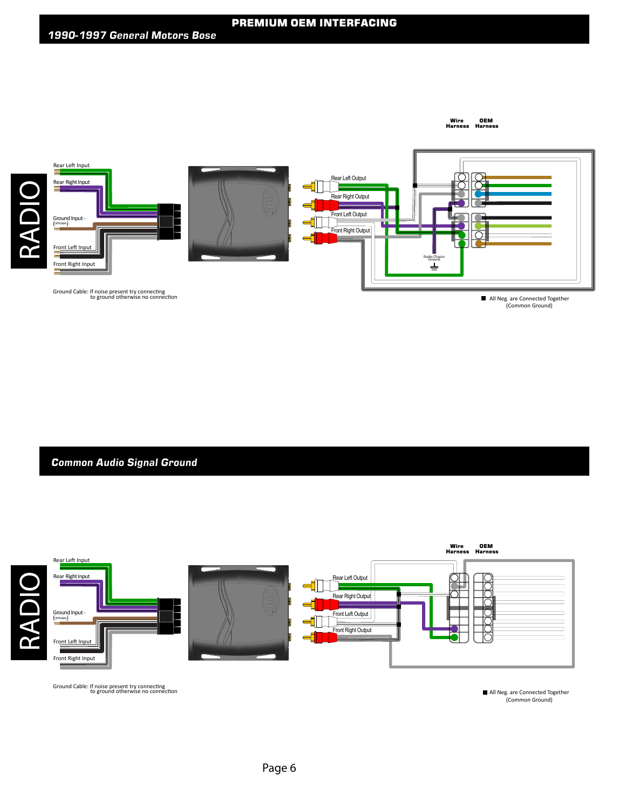Wire OEM<br>Harness Harness

Wire



Front Right Output

All Neg. are Connected Together (Common Ground) Meg.<br>Il Neg.

**Common Audio Signal Ground** 

RADIO



audit installed connection Ground Cable: If noise present try connecting<br>to ground otherwise no connection to ground otherwise no connection

All Neg. are Connected Together  $\blacksquare$  All Neg. are Connected Together (Common Ground)<br>(Common Ground) (Common Ground)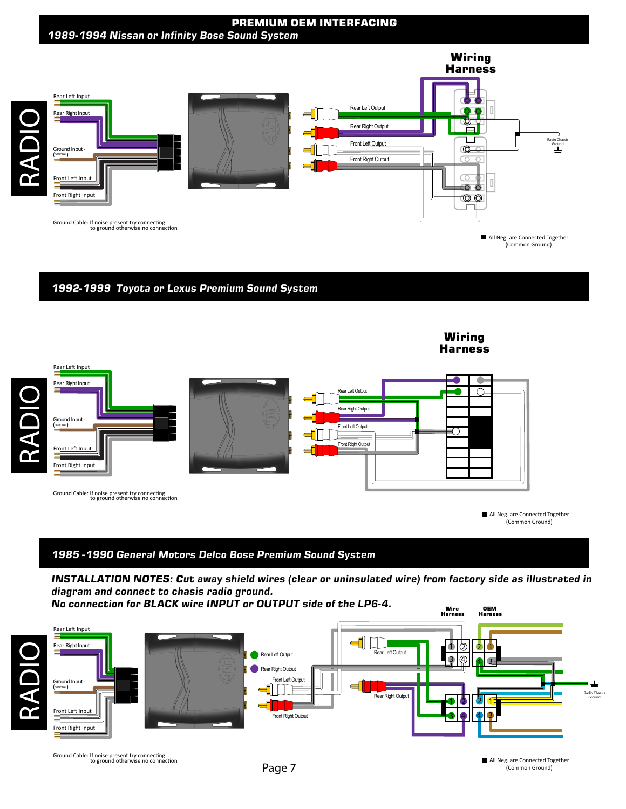# **PREMIUM OEM INTERFACING**



1992-1999 Toyota or Lexus Premium Sound System



Ground Cable: If noise present try connecting<br>to ground otherwise no connection<br>to ground otherwise no connection

Front Right Audio Input

Front Right Input

Rear Right Input

All Neg. are Connected Together (Common Ground)

IN

R

R L

LTG

SDI

(Common Ground)

COM

LINE-OUT

ALARM

# 1985 -1990 General Motors Delco Bose Premium Sound System<br>.

*diagram and connect to chasis radio ground.* alagram and connect to chasts radio greams.<br>No connection for BLACK wire INPUT or OUTPUT side of the LP6-4. N.C. N.C. te<br>C LI<br>II st

AF -

SDI CD-

Front Right Output

Rear Left Output

RR

FR <u>PL CLOCK COMPUTER COMPUTER COMPUTER COMPUTER COMPUTER COMPUTER COMPUTER COMPUTER COMPUTER COMPUTER COMPUTER COM</u>



Ground Cable: If noise present try connecting to ground otherwise no connection

All Neg. are Connected Together (Common Ground)